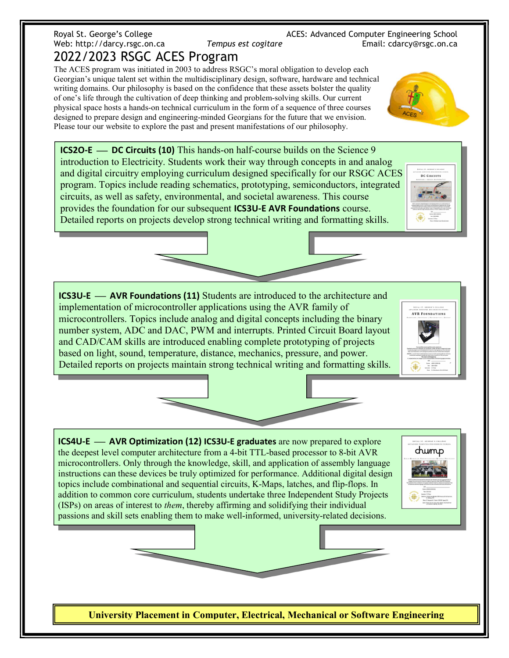## Royal St. George's College ACES: Advanced Computer Engineering School Web: http://darcy.rsgc.on.ca Tempus est cogitare Final: cdarcy@rsgc.on.ca 2022/2023 RSGC ACES Program

The ACES program was initiated in 2003 to address RSGC's moral obligation to develop each Georgian's unique talent set within the multidisciplinary design, software, hardware and technical writing domains. Our philosophy is based on the confidence that these assets bolster the quality of one's life through the cultivation of deep thinking and problem-solving skills. Our current physical space hosts a hands-on technical curriculum in the form of a sequence of three courses designed to prepare design and engineering-minded Georgians for the future that we envision. Please tour our website to explore the past and present manifestations of our philosophy.

ICS2O-E DC Circuits (10) This hands-on half-course builds on the Science 9 introduction to Electricity. Students work their way through concepts in and analog and digital circuitry employing curriculum designed specifically for our RSGC ACES program. Topics include reading schematics, prototyping, semiconductors, integrated circuits, as well as safety, environmental, and societal awareness. This course provides the foundation for our subsequent ICS3U-E AVR Foundations course. Detailed reports on projects develop strong technical writing and formatting skills.

ICS3U-E AVR Foundations (11) Students are introduced to the architecture and implementation of microcontroller applications using the AVR family of microcontrollers. Topics include analog and digital concepts including the binary number system, ADC and DAC, PWM and interrupts. Printed Circuit Board layout and CAD/CAM skills are introduced enabling complete prototyping of projects based on light, sound, temperature, distance, mechanics, pressure, and power. Detailed reports on projects maintain strong technical writing and formatting skills.

ICS4U-E AVR Optimization (12) ICS3U-E graduates are now prepared to explore the deepest level computer architecture from a 4-bit TTL-based processor to 8-bit AVR microcontrollers. Only through the knowledge, skill, and application of assembly language instructions can these devices be truly optimized for performance. Additional digital design topics include combinational and sequential circuits, K-Maps, latches, and flip-flops. In addition to common core curriculum, students undertake three Independent Study Projects (ISPs) on areas of interest to them, thereby affirming and solidifying their individual passions and skill sets enabling them to make well-informed, university-related decisions.